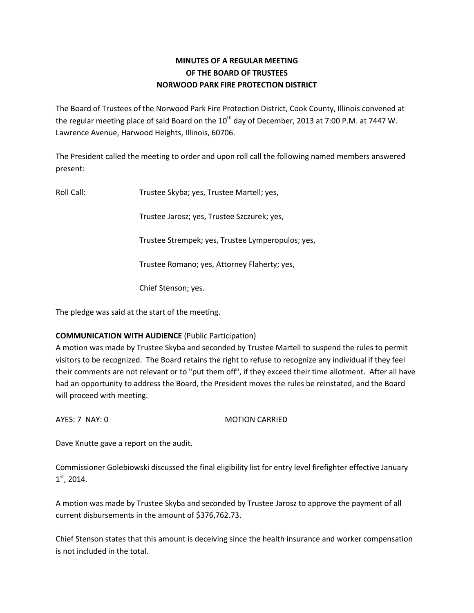# **MINUTES OF A REGULAR MEETING OF THE BOARD OF TRUSTEES NORWOOD PARK FIRE PROTECTION DISTRICT**

The Board of Trustees of the Norwood Park Fire Protection District, Cook County, Illinois convened at the regular meeting place of said Board on the  $10^{th}$  day of December, 2013 at 7:00 P.M. at 7447 W. Lawrence Avenue, Harwood Heights, Illinois, 60706.

The President called the meeting to order and upon roll call the following named members answered present:

Roll Call: Trustee Skyba; yes, Trustee Martell; yes,

Trustee Jarosz; yes, Trustee Szczurek; yes,

Trustee Strempek; yes, Trustee Lymperopulos; yes,

Trustee Romano; yes, Attorney Flaherty; yes,

Chief Stenson; yes.

The pledge was said at the start of the meeting.

## **COMMUNICATION WITH AUDIENCE** (Public Participation)

A motion was made by Trustee Skyba and seconded by Trustee Martell to suspend the rules to permit visitors to be recognized. The Board retains the right to refuse to recognize any individual if they feel their comments are not relevant or to "put them off", if they exceed their time allotment. After all have had an opportunity to address the Board, the President moves the rules be reinstated, and the Board will proceed with meeting.

AYES: 7 NAY: 0 MOTION CARRIED

Dave Knutte gave a report on the audit.

Commissioner Golebiowski discussed the final eligibility list for entry level firefighter effective January  $1^{\text{st}}$ , 2014.

A motion was made by Trustee Skyba and seconded by Trustee Jarosz to approve the payment of all current disbursements in the amount of \$376,762.73.

Chief Stenson states that this amount is deceiving since the health insurance and worker compensation is not included in the total.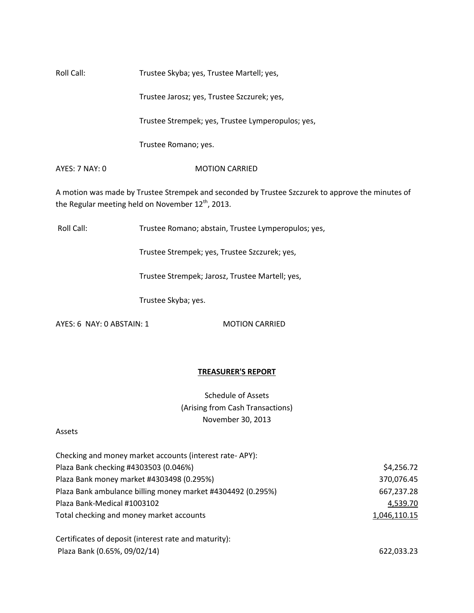Roll Call: Trustee Skyba; yes, Trustee Martell; yes,

Trustee Jarosz; yes, Trustee Szczurek; yes,

Trustee Strempek; yes, Trustee Lymperopulos; yes,

Trustee Romano; yes.

AYES: 7 NAY: 0 MOTION CARRIED

A motion was made by Trustee Strempek and seconded by Trustee Szczurek to approve the minutes of the Regular meeting held on November  $12^{th}$ , 2013.

Roll Call: Trustee Romano; abstain, Trustee Lymperopulos; yes,

Trustee Strempek; yes, Trustee Szczurek; yes,

Trustee Strempek; Jarosz, Trustee Martell; yes,

Trustee Skyba; yes.

AYES: 6 NAY: 0 ABSTAIN: 1 MOTION CARRIED

#### **TREASURER'S REPORT**

Schedule of Assets (Arising from Cash Transactions) November 30, 2013

#### Assets

| Checking and money market accounts (interest rate-APY):     |              |
|-------------------------------------------------------------|--------------|
| Plaza Bank checking #4303503 (0.046%)                       | \$4,256.72   |
| Plaza Bank money market #4303498 (0.295%)                   | 370,076.45   |
| Plaza Bank ambulance billing money market #4304492 (0.295%) | 667,237.28   |
| Plaza Bank-Medical #1003102                                 | 4,539.70     |
| Total checking and money market accounts                    | 1,046,110.15 |
| Certificates of deposit (interest rate and maturity):       |              |

Plaza Bank (0.65%, 09/02/14) 622,033.23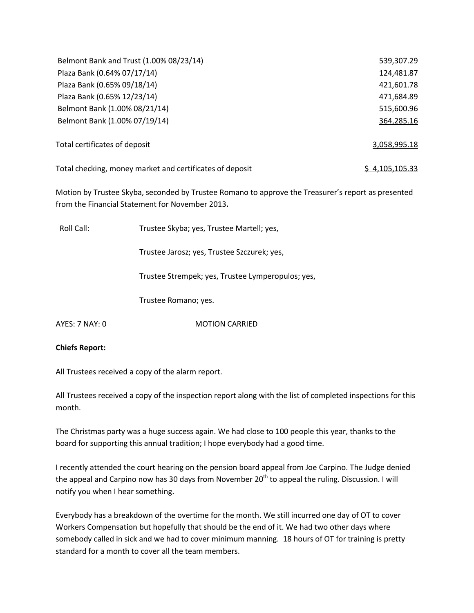| Belmont Bank and Trust (1.00% 08/23/14)                  | 539,307.29     |
|----------------------------------------------------------|----------------|
| Plaza Bank (0.64% 07/17/14)                              | 124,481.87     |
| Plaza Bank (0.65% 09/18/14)                              | 421,601.78     |
| Plaza Bank (0.65% 12/23/14)                              | 471,684.89     |
| Belmont Bank (1.00% 08/21/14)                            | 515,600.96     |
| Belmont Bank (1.00% 07/19/14)                            | 364,285.16     |
| Total certificates of deposit                            | 3,058,995.18   |
| Total checking, money market and certificates of deposit | \$4,105,105.33 |

Motion by Trustee Skyba, seconded by Trustee Romano to approve the Treasurer's report as presented from the Financial Statement for November 2013**.** 

| Roll Call:     | Trustee Skyba; yes, Trustee Martell; yes,         |
|----------------|---------------------------------------------------|
|                | Trustee Jarosz; yes, Trustee Szczurek; yes,       |
|                | Trustee Strempek; yes, Trustee Lymperopulos; yes, |
|                | Trustee Romano; yes.                              |
| AYES: 7 NAY: 0 | <b>MOTION CARRIED</b>                             |

#### **Chiefs Report:**

All Trustees received a copy of the alarm report.

All Trustees received a copy of the inspection report along with the list of completed inspections for this month.

The Christmas party was a huge success again. We had close to 100 people this year, thanks to the board for supporting this annual tradition; I hope everybody had a good time.

I recently attended the court hearing on the pension board appeal from Joe Carpino. The Judge denied the appeal and Carpino now has 30 days from November 20<sup>th</sup> to appeal the ruling. Discussion. I will notify you when I hear something.

Everybody has a breakdown of the overtime for the month. We still incurred one day of OT to cover Workers Compensation but hopefully that should be the end of it. We had two other days where somebody called in sick and we had to cover minimum manning. 18 hours of OT for training is pretty standard for a month to cover all the team members.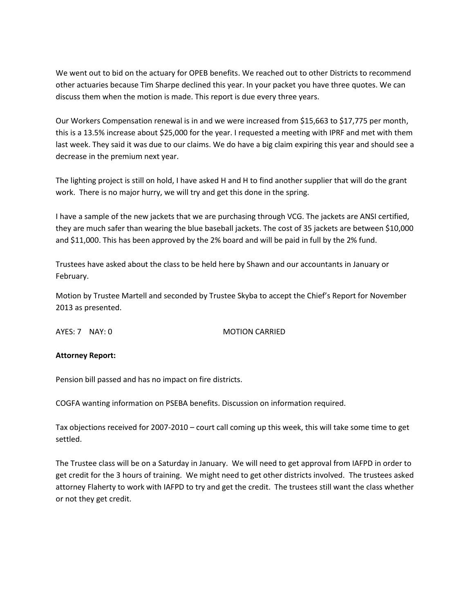We went out to bid on the actuary for OPEB benefits. We reached out to other Districts to recommend other actuaries because Tim Sharpe declined this year. In your packet you have three quotes. We can discuss them when the motion is made. This report is due every three years.

Our Workers Compensation renewal is in and we were increased from \$15,663 to \$17,775 per month, this is a 13.5% increase about \$25,000 for the year. I requested a meeting with IPRF and met with them last week. They said it was due to our claims. We do have a big claim expiring this year and should see a decrease in the premium next year.

The lighting project is still on hold, I have asked H and H to find another supplier that will do the grant work. There is no major hurry, we will try and get this done in the spring.

I have a sample of the new jackets that we are purchasing through VCG. The jackets are ANSI certified, they are much safer than wearing the blue baseball jackets. The cost of 35 jackets are between \$10,000 and \$11,000. This has been approved by the 2% board and will be paid in full by the 2% fund.

Trustees have asked about the class to be held here by Shawn and our accountants in January or February.

Motion by Trustee Martell and seconded by Trustee Skyba to accept the Chief's Report for November 2013 as presented.

AYES: 7 NAY: 0 MOTION CARRIED

## **Attorney Report:**

Pension bill passed and has no impact on fire districts.

COGFA wanting information on PSEBA benefits. Discussion on information required.

Tax objections received for 2007-2010 – court call coming up this week, this will take some time to get settled.

The Trustee class will be on a Saturday in January. We will need to get approval from IAFPD in order to get credit for the 3 hours of training. We might need to get other districts involved. The trustees asked attorney Flaherty to work with IAFPD to try and get the credit. The trustees still want the class whether or not they get credit.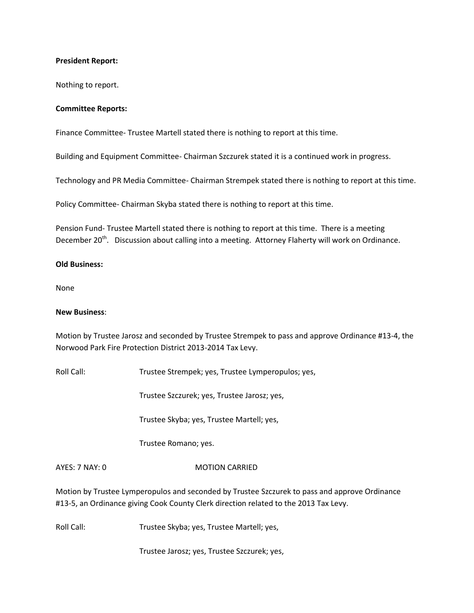#### **President Report:**

Nothing to report.

#### **Committee Reports:**

Finance Committee- Trustee Martell stated there is nothing to report at this time.

Building and Equipment Committee- Chairman Szczurek stated it is a continued work in progress.

Technology and PR Media Committee- Chairman Strempek stated there is nothing to report at this time.

Policy Committee- Chairman Skyba stated there is nothing to report at this time.

Pension Fund- Trustee Martell stated there is nothing to report at this time. There is a meeting December 20<sup>th</sup>. Discussion about calling into a meeting. Attorney Flaherty will work on Ordinance.

#### **Old Business:**

None

#### **New Business**:

Motion by Trustee Jarosz and seconded by Trustee Strempek to pass and approve Ordinance #13-4, the Norwood Park Fire Protection District 2013-2014 Tax Levy.

Roll Call: Trustee Strempek; yes, Trustee Lymperopulos; yes,

Trustee Szczurek; yes, Trustee Jarosz; yes,

Trustee Skyba; yes, Trustee Martell; yes,

Trustee Romano; yes.

AYES: 7 NAY: 0 MOTION CARRIED

Motion by Trustee Lymperopulos and seconded by Trustee Szczurek to pass and approve Ordinance #13-5, an Ordinance giving Cook County Clerk direction related to the 2013 Tax Levy.

Roll Call: Trustee Skyba; yes, Trustee Martell; yes,

Trustee Jarosz; yes, Trustee Szczurek; yes,